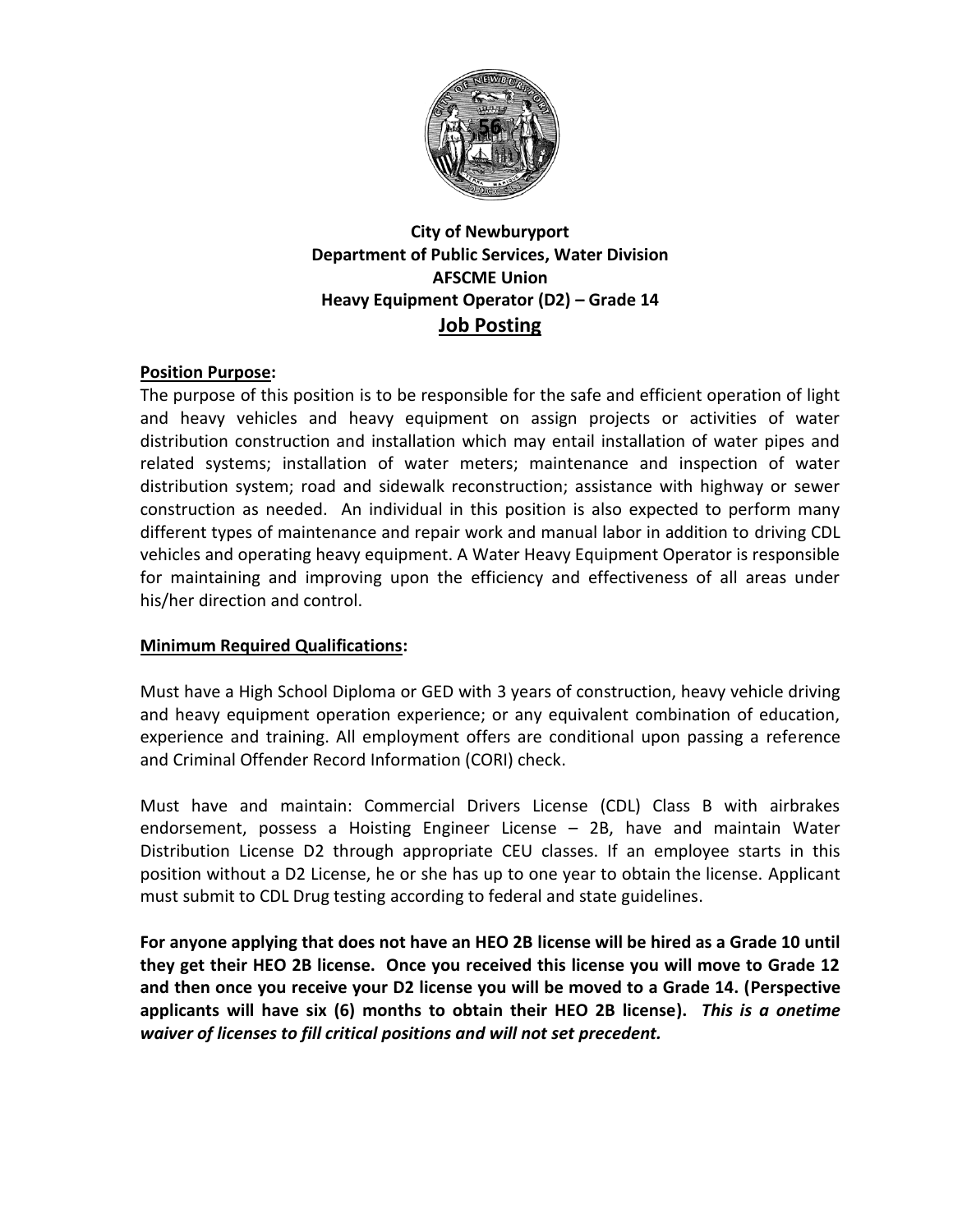

## **City of Newburyport Department of Public Services, Water Division AFSCME Union Heavy Equipment Operator (D2) – Grade 14 Job Posting**

## **Position Purpose:**

The purpose of this position is to be responsible for the safe and efficient operation of light and heavy vehicles and heavy equipment on assign projects or activities of water distribution construction and installation which may entail installation of water pipes and related systems; installation of water meters; maintenance and inspection of water distribution system; road and sidewalk reconstruction; assistance with highway or sewer construction as needed. An individual in this position is also expected to perform many different types of maintenance and repair work and manual labor in addition to driving CDL vehicles and operating heavy equipment. A Water Heavy Equipment Operator is responsible for maintaining and improving upon the efficiency and effectiveness of all areas under his/her direction and control.

## **Minimum Required Qualifications:**

Must have a High School Diploma or GED with 3 years of construction, heavy vehicle driving and heavy equipment operation experience; or any equivalent combination of education, experience and training. All employment offers are conditional upon passing a reference and Criminal Offender Record Information (CORI) check.

Must have and maintain: Commercial Drivers License (CDL) Class B with airbrakes endorsement, possess a Hoisting Engineer License – 2B, have and maintain Water Distribution License D2 through appropriate CEU classes. If an employee starts in this position without a D2 License, he or she has up to one year to obtain the license. Applicant must submit to CDL Drug testing according to federal and state guidelines.

**For anyone applying that does not have an HEO 2B license will be hired as a Grade 10 until they get their HEO 2B license. Once you received this license you will move to Grade 12 and then once you receive your D2 license you will be moved to a Grade 14. (Perspective applicants will have six (6) months to obtain their HEO 2B license).** *This is a onetime waiver of licenses to fill critical positions and will not set precedent.*